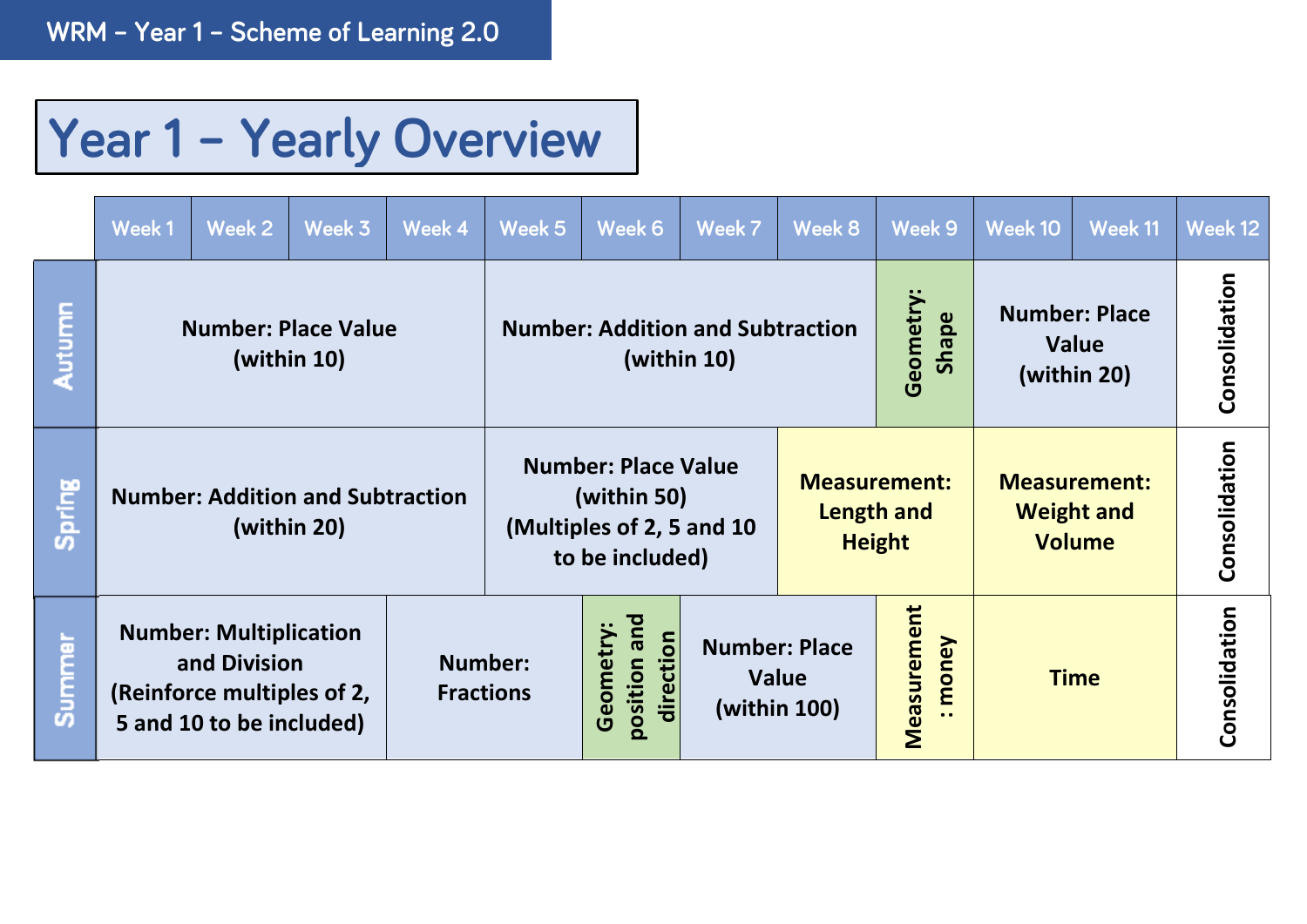## Year 1 - Yearly Overview

|        | Week 1                                                                                                  | Week 2 | Week 3                                                 | Week 4                                 | Week 5                                                                                    | Week 6                                                                       | Week 7 | Week 8                                                                                                          | Week 9            | Week 10                                             | Week 11       | Week 12 |
|--------|---------------------------------------------------------------------------------------------------------|--------|--------------------------------------------------------|----------------------------------------|-------------------------------------------------------------------------------------------|------------------------------------------------------------------------------|--------|-----------------------------------------------------------------------------------------------------------------|-------------------|-----------------------------------------------------|---------------|---------|
| Autumn | <b>Number: Place Value</b><br>(within 10)                                                               |        |                                                        |                                        | <b>Number: Addition and Subtraction</b><br>(within 10)                                    |                                                                              |        |                                                                                                                 | Geometry<br>Shape | <b>Number: Place</b><br><b>Value</b><br>(within 20) | Consolidation |         |
| Spring |                                                                                                         |        | <b>Number: Addition and Subtraction</b><br>(within 20) |                                        | <b>Number: Place Value</b><br>(within 50)<br>(Multiples of 2, 5 and 10<br>to be included) |                                                                              |        | <b>Measurement:</b><br><b>Measurement:</b><br>Length and<br><b>Weight and</b><br><b>Height</b><br><b>Volume</b> |                   |                                                     | Consolidation |         |
| Summer | <b>Number: Multiplication</b><br>and Division<br>(Reinforce multiples of 2,<br>5 and 10 to be included) |        | <b>Number:</b><br><b>Fractions</b>                     | position and<br>Geometry:<br>direction |                                                                                           | Measurement<br>money<br><b>Number: Place</b><br><b>Value</b><br>(within 100) |        | <b>Time</b>                                                                                                     |                   | Consolidation                                       |               |         |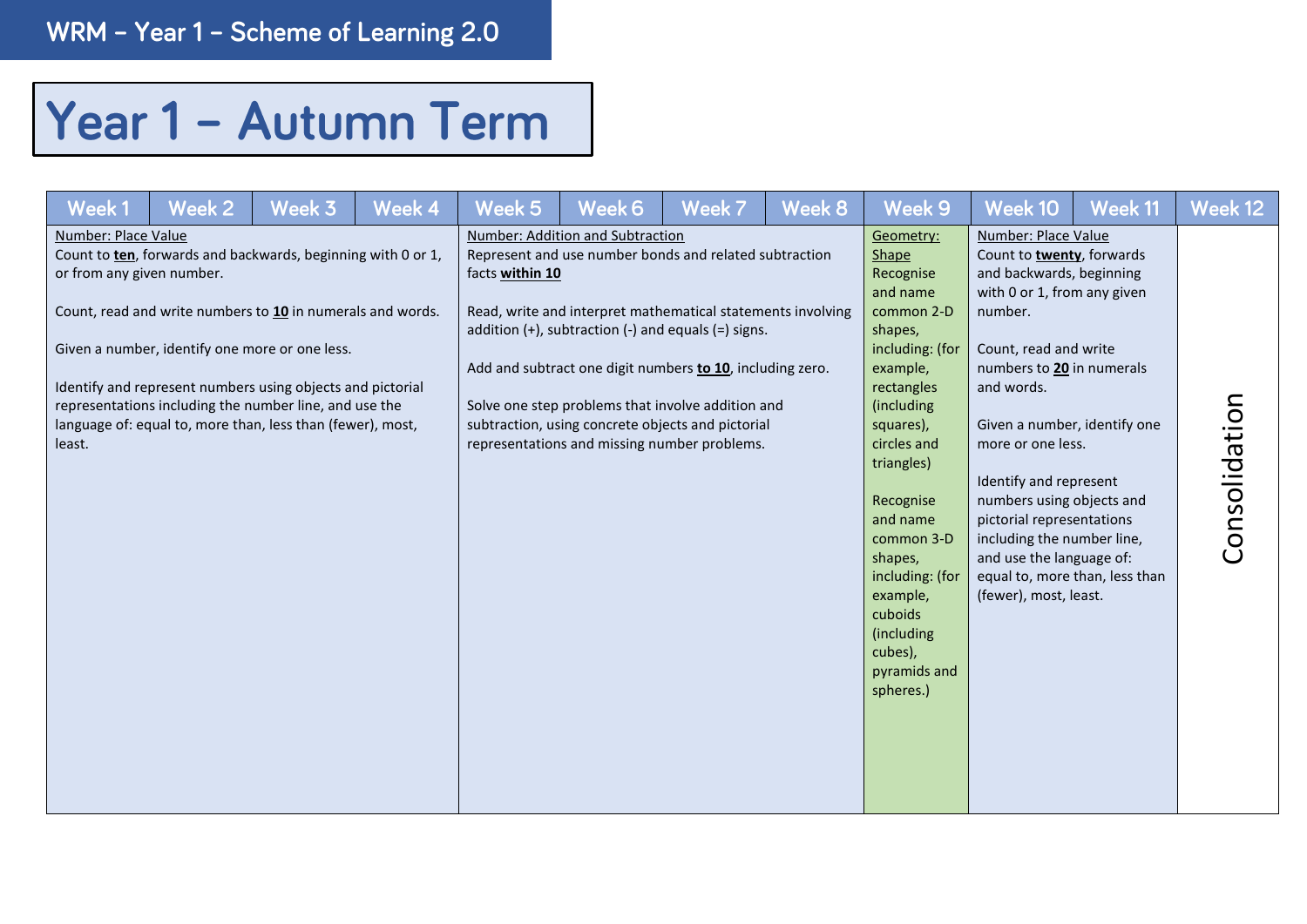## Year 1 - Autumn Term

| Week 1                                                     | Week 2 | Week 3                                                                                                                                                                                                                                                                                                                                                             | Week 4 | Week 5          | Week 6                                                                                                                                                                                                                                                                                                                                                                                                                                         | Week 7 | Week 8 | Week 9                                                                                                                                                                                                                                                                                                                      | Week 10                                                                                                                                                                                                                                                                                                                                                                                                                | Week 11                        | Week 12       |
|------------------------------------------------------------|--------|--------------------------------------------------------------------------------------------------------------------------------------------------------------------------------------------------------------------------------------------------------------------------------------------------------------------------------------------------------------------|--------|-----------------|------------------------------------------------------------------------------------------------------------------------------------------------------------------------------------------------------------------------------------------------------------------------------------------------------------------------------------------------------------------------------------------------------------------------------------------------|--------|--------|-----------------------------------------------------------------------------------------------------------------------------------------------------------------------------------------------------------------------------------------------------------------------------------------------------------------------------|------------------------------------------------------------------------------------------------------------------------------------------------------------------------------------------------------------------------------------------------------------------------------------------------------------------------------------------------------------------------------------------------------------------------|--------------------------------|---------------|
| Number: Place Value<br>or from any given number.<br>least. |        | Count to ten, forwards and backwards, beginning with 0 or 1,<br>Count, read and write numbers to 10 in numerals and words.<br>Given a number, identify one more or one less.<br>Identify and represent numbers using objects and pictorial<br>representations including the number line, and use the<br>language of: equal to, more than, less than (fewer), most, |        | facts within 10 | Number: Addition and Subtraction<br>Represent and use number bonds and related subtraction<br>Read, write and interpret mathematical statements involving<br>addition $(+)$ , subtraction $(-)$ and equals $(=)$ signs.<br>Add and subtract one digit numbers to 10, including zero.<br>Solve one step problems that involve addition and<br>subtraction, using concrete objects and pictorial<br>representations and missing number problems. |        |        | Geometry:<br>Shape<br>Recognise<br>and name<br>common 2-D<br>shapes,<br>including: (for<br>example,<br>rectangles<br>(including<br>squares),<br>circles and<br>triangles)<br>Recognise<br>and name<br>common 3-D<br>shapes,<br>including: (for<br>example,<br>cuboids<br>(including<br>cubes),<br>pyramids and<br>spheres.) | Number: Place Value<br>Count to twenty, forwards<br>and backwards, beginning<br>with 0 or 1, from any given<br>number.<br>Count, read and write<br>numbers to 20 in numerals<br>and words.<br>Given a number, identify one<br>more or one less.<br>Identify and represent<br>numbers using objects and<br>pictorial representations<br>including the number line,<br>and use the language of:<br>(fewer), most, least. | equal to, more than, less than | Consolidation |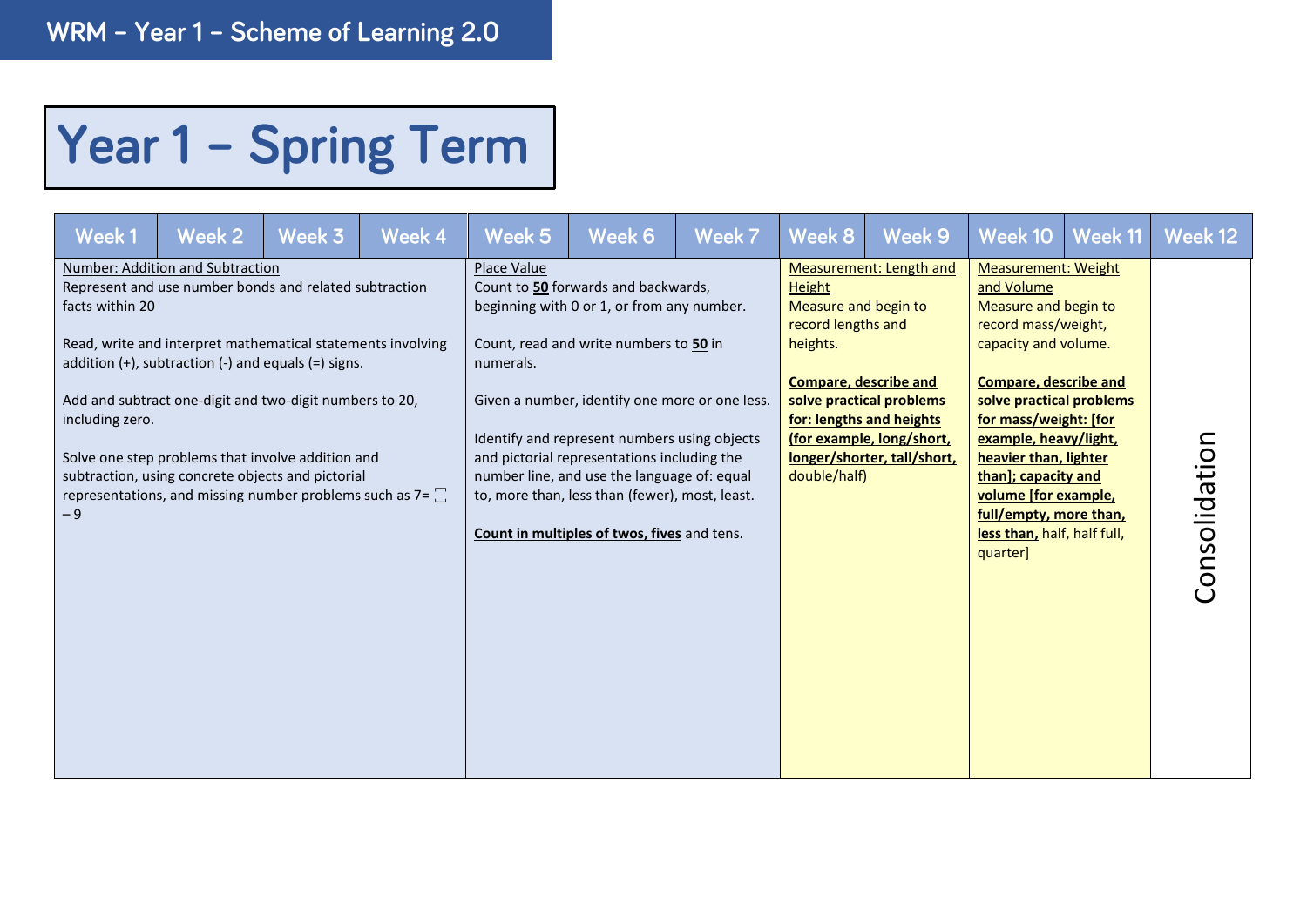## Year 1 - Spring Term

| Week 1                                     | Week 2                                                                                                                                                                                                                                                                                                                                                                                                                                                             | Week 3 | Week 4 | Week 5                   | Week 6                                                                                                                                                                                                                                                                                                                                                                                                                       | Week 7 | Week 8                                                                                                                  | Week 9                                                                                                                                             | Week 10                                                                                                                                                                                                                                                                                                                                                                    | <b>Week 11</b> | Week 12       |
|--------------------------------------------|--------------------------------------------------------------------------------------------------------------------------------------------------------------------------------------------------------------------------------------------------------------------------------------------------------------------------------------------------------------------------------------------------------------------------------------------------------------------|--------|--------|--------------------------|------------------------------------------------------------------------------------------------------------------------------------------------------------------------------------------------------------------------------------------------------------------------------------------------------------------------------------------------------------------------------------------------------------------------------|--------|-------------------------------------------------------------------------------------------------------------------------|----------------------------------------------------------------------------------------------------------------------------------------------------|----------------------------------------------------------------------------------------------------------------------------------------------------------------------------------------------------------------------------------------------------------------------------------------------------------------------------------------------------------------------------|----------------|---------------|
| facts within 20<br>including zero.<br>$-9$ | Number: Addition and Subtraction<br>Represent and use number bonds and related subtraction<br>Read, write and interpret mathematical statements involving<br>addition $(+)$ , subtraction $(-)$ and equals $(=)$ signs.<br>Add and subtract one-digit and two-digit numbers to 20,<br>Solve one step problems that involve addition and<br>subtraction, using concrete objects and pictorial<br>representations, and missing number problems such as $7 = \square$ |        |        | Place Value<br>numerals. | Count to 50 forwards and backwards,<br>beginning with 0 or 1, or from any number.<br>Count, read and write numbers to 50 in<br>Given a number, identify one more or one less.<br>Identify and represent numbers using objects<br>and pictorial representations including the<br>number line, and use the language of: equal<br>to, more than, less than (fewer), most, least.<br>Count in multiples of twos, fives and tens. |        | <b>Height</b><br>Measure and begin to<br>record lengths and<br>heights.<br><b>Compare, describe and</b><br>double/half) | <b>Measurement: Length and</b><br>solve practical problems<br>for: lengths and heights<br>(for example, long/short,<br>longer/shorter, tall/short, | <b>Measurement: Weight</b><br>and Volume<br>Measure and begin to<br>record mass/weight,<br>capacity and volume.<br><b>Compare, describe and</b><br>solve practical problems<br>for mass/weight: [for<br>example, heavy/light,<br>heavier than, lighter<br>than]; capacity and<br>volume [for example,<br>full/empty, more than,<br>less than, half, half full,<br>quarter] |                | Consolidation |